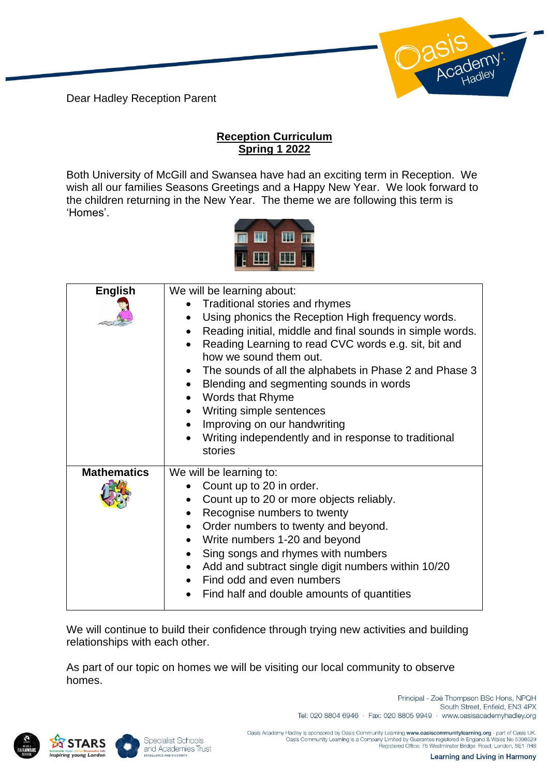Dear Hadley Reception Parent

## **Reception Curriculum Spring 1 2022**

Both University of McGill and Swansea have had an exciting term in Reception. We wish all our families Seasons Greetings and a Happy New Year. We look forward to the children returning in the New Year. The theme we are following this term is 'Homes'.



| <b>English</b>     | We will be learning about:                                                     |
|--------------------|--------------------------------------------------------------------------------|
|                    | Traditional stories and rhymes                                                 |
|                    | Using phonics the Reception High frequency words.                              |
|                    | Reading initial, middle and final sounds in simple words.                      |
|                    | Reading Learning to read CVC words e.g. sit, bit and<br>how we sound them out. |
|                    | The sounds of all the alphabets in Phase 2 and Phase 3                         |
|                    | Blending and segmenting sounds in words                                        |
|                    | <b>Words that Rhyme</b>                                                        |
|                    | Writing simple sentences                                                       |
|                    | Improving on our handwriting                                                   |
|                    | Writing independently and in response to traditional                           |
|                    |                                                                                |
|                    | stories                                                                        |
| <b>Mathematics</b> | We will be learning to:                                                        |
|                    | Count up to 20 in order.                                                       |
|                    |                                                                                |
|                    | Count up to 20 or more objects reliably.<br>$\bullet$                          |
|                    | Recognise numbers to twenty                                                    |
|                    | Order numbers to twenty and beyond.                                            |
|                    | Write numbers 1-20 and beyond                                                  |
|                    | Sing songs and rhymes with numbers                                             |
|                    | Add and subtract single digit numbers within 10/20                             |
|                    | Find odd and even numbers<br>Find half and double amounts of quantities        |

We will continue to build their confidence through trying new activities and building relationships with each other.

As part of our topic on homes we will be visiting our local community to observe homes.





South Street, Enfield, EN3 4PX Tel: 020 8804 6946 · Fax: 020 8805 9949 · www.oasisacademyhadley.org

Principal - Zoë Thompson BSc Hons, NPQH